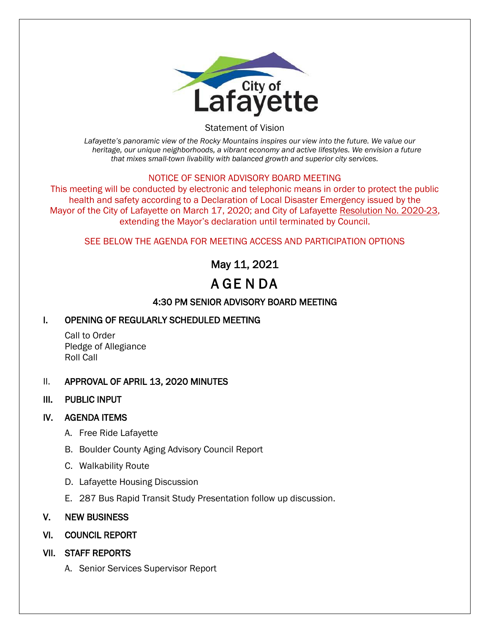

Statement of Vision

*Lafayette's panoramic view of the Rocky Mountains inspires our view into the future. We value our heritage, our unique neighborhoods, a vibrant economy and active lifestyles. We envision a future that mixes small-town livability with balanced growth and superior city services.*

#### NOTICE OF SENIOR ADVISORY BOARD MEETING

This meeting will be conducted by electronic and telephonic means in order to protect the public health and safety according to a Declaration of Local Disaster Emergency issued by the Mayor of the City of Lafayette on March 17, 2020; and City of Lafayette Resolution No. 2020-23, extending the Mayor's declaration until terminated by Council.

#### SEE BELOW THE AGENDA FOR MEETING ACCESS AND PARTICIPATION OPTIONS

## May 11, 2021

# A GE N DA

### 4:30 PM SENIOR ADVISORY BOARD MEETING

#### I. OPENING OF REGULARLY SCHEDULED MEETING

Call to Order Pledge of Allegiance Roll Call

#### II. APPROVAL OF APRIL 13, 2020 MINUTES

III. PUBLIC INPUT

#### IV. AGENDA ITEMS

- A. Free Ride Lafayette
- B. Boulder County Aging Advisory Council Report
- C. Walkability Route
- D. Lafayette Housing Discussion
- E. 287 Bus Rapid Transit Study Presentation follow up discussion.

#### V. NEW BUSINESS

- VI. COUNCIL REPORT
- VII. STAFF REPORTS
	- A. Senior Services Supervisor Report